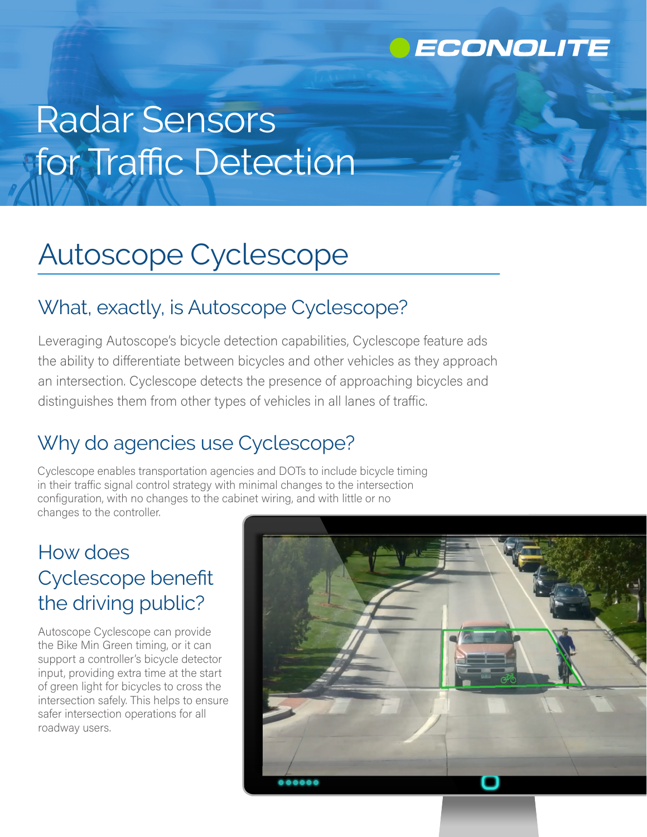

# Radar Sensors for Traffic Detection

## Autoscope Cyclescope

### What, exactly, is Autoscope Cyclescope?

Leveraging Autoscope's bicycle detection capabilities, Cyclescope feature ads the ability to differentiate between bicycles and other vehicles as they approach an intersection. Cyclescope detects the presence of approaching bicycles and distinguishes them from other types of vehicles in all lanes of traffic.

### Why do agencies use Cyclescope?

Cyclescope enables transportation agencies and DOTs to include bicycle timing in their traffic signal control strategy with minimal changes to the intersection configuration, with no changes to the cabinet wiring, and with little or no changes to the controller.

### How does Cyclescope benefit the driving public?

Autoscope Cyclescope can provide the Bike Min Green timing, or it can support a controller's bicycle detector input, providing extra time at the start of green light for bicycles to cross the intersection safely. This helps to ensure safer intersection operations for all roadway users.